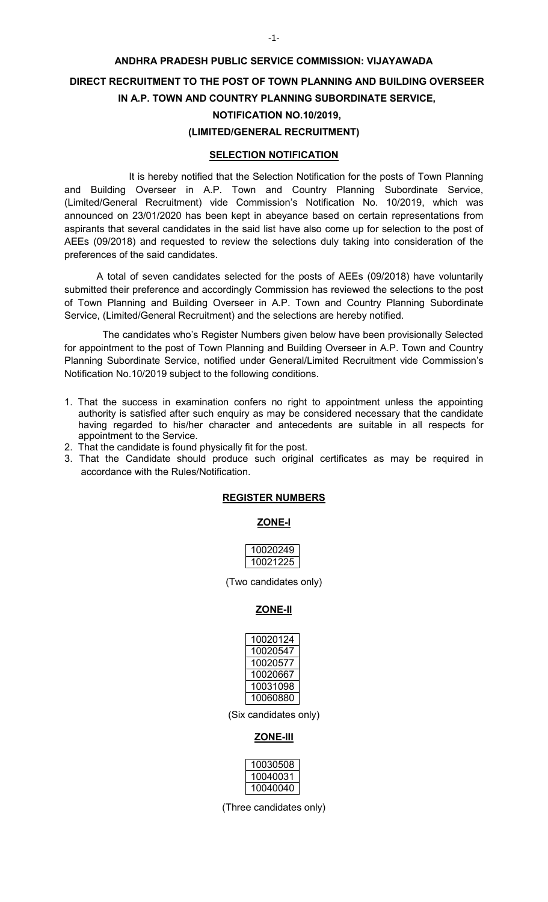# **ANDHRA PRADESH PUBLIC SERVICE COMMISSION: VIJAYAWADA DIRECT RECRUITMENT TO THE POST OF TOWN PLANNING AND BUILDING OVERSEER IN A.P. TOWN AND COUNTRY PLANNING SUBORDINATE SERVICE, NOTIFICATION NO.10/2019, (LIMITED/GENERAL RECRUITMENT)**

### **SELECTION NOTIFICATION**

 It is hereby notified that the Selection Notification for the posts of Town Planning and Building Overseer in A.P. Town and Country Planning Subordinate Service, (Limited/General Recruitment) vide Commission's Notification No. 10/2019, which was announced on 23/01/2020 has been kept in abeyance based on certain representations from aspirants that several candidates in the said list have also come up for selection to the post of AEEs (09/2018) and requested to review the selections duly taking into consideration of the preferences of the said candidates.

 A total of seven candidates selected for the posts of AEEs (09/2018) have voluntarily submitted their preference and accordingly Commission has reviewed the selections to the post of Town Planning and Building Overseer in A.P. Town and Country Planning Subordinate Service, (Limited/General Recruitment) and the selections are hereby notified.

The candidates who's Register Numbers given below have been provisionally Selected for appointment to the post of Town Planning and Building Overseer in A.P. Town and Country Planning Subordinate Service, notified under General/Limited Recruitment vide Commission's Notification No.10/2019 subject to the following conditions.

- 1. That the success in examination confers no right to appointment unless the appointing authority is satisfied after such enquiry as may be considered necessary that the candidate having regarded to his/her character and antecedents are suitable in all respects for appointment to the Service.
- 2. That the candidate is found physically fit for the post.
- 3. That the Candidate should produce such original certificates as may be required in accordance with the Rules/Notification.

### **REGISTER NUMBERS**

### **ZONE-I**

| 10020249 |
|----------|
| 10021225 |

(Two candidates only)

## **ZONE-II**

| 10020124 |
|----------|
| 10020547 |
| 10020577 |
| 10020667 |
| 10031098 |
| 10060880 |

(Six candidates only)

## **ZONE-III**

| 10030508 |
|----------|
| 10040031 |
| 10040040 |

(Three candidates only)